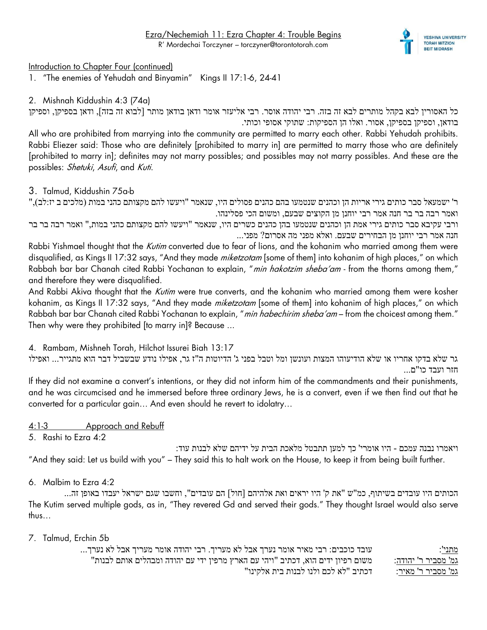

## Introduction to Chapter Four (continued)

1. "The enemies of Yehudah and Binyamin" Kings II 17:1-6, 24-41

2. Mishnah Kiddushin 4:3 (74a)

כל האסורין לבא בקהל מותרים לבא זה בזה. רבי יהודה אוסר. רבי אליעזר אומר ודאן בודאן מותר ]לבוא זה בזה[, ודאן בספיקן, וספיקן בודאן, וספיקן בספיקן, אסור. ואלו הן הספיקות: שתוקי אסופי וכותי.

All who are prohibited from marrying into the community are permitted to marry each other. Rabbi Yehudah prohibits. Rabbi Eliezer said: Those who are definitely [prohibited to marry in] are permitted to marry those who are definitely [prohibited to marry in]; definites may not marry possibles; and possibles may not marry possibles. And these are the possibles: Shetuki, Asufi, and Kuti.

3. Talmud, Kiddushin 75a-b

ר' ישמעאל סבר כותים גירי אריות הן וכהנים שנטמעו בהם כהנים פסולים היו, שנאמר "ויעשו להם מקצותם כהני במות )מלכים ב יז:לב(," ואמר רבה בר בר חנה אמר רבי יוחנן מן הקוצים שבעם, ומשום הכי פסלינהו.

ורבי עקיבא סבר כותים גירי אמת הן וכהנים שנטמעו בהן כהנים כשרים היו, שנאמר "ויעשו להם מקצותם כהני במות," ואמר רבה בר בר חנה אמר רבי יוחנן מן הבחירים שבעם. ואלא מפני מה אסרום? מפני...

Rabbi Yishmael thought that the Kutim converted due to fear of lions, and the kohanim who married among them were disqualified, as Kings II 17:32 says, "And they made *miketzotam* [some of them] into kohanim of high places," on which Rabbah bar bar Chanah cited Rabbi Yochanan to explain, "min hakotzim sheba'am - from the thorns among them," and therefore they were disqualified.

And Rabbi Akiva thought that the Kutim were true converts, and the kohanim who married among them were kosher kohanim, as Kings II 17:32 says, "And they made *miketzotam* [some of them] into kohanim of high places," on which Rabbah bar bar Chanah cited Rabbi Yochanan to explain, "min habechirim sheba'am – from the choicest among them." Then why were they prohibited [to marry in]? Because ...

4. Rambam, Mishneh Torah, Hilchot Issurei Biah 13:17

גר שלא בדקו אחריו או שלא הודיעוהו המצות ועונשן ומל וטבל בפני ג' הדיוטות ה"ז גר, אפילו נודע שבשביל דבר הוא מתגייר... ואפילו חזר ועבד כו"ם...

If they did not examine a convert's intentions, or they did not inform him of the commandments and their punishments, and he was circumcised and he immersed before three ordinary Jews, he is a convert, even if we then find out that he converted for a particular gain… And even should he revert to idolatry…

4:1-3 Approach and Rebuff

5. Rashi to Ezra 4:2

ויאמרו נבנה עמכם - היו אומרי' כך למען תתבטל מלאכת הבית על ידיהם שלא לבנות עוד: "And they said: Let us build with you" – They said this to halt work on the House, to keep it from being built further.

6. Malbim to Ezra 4:2

הכותים היו עובדים בשיתוף, כמ"ש "את ק' היו יראים ואת אלהיהם ]חול[ הם עובדים", וחשבו שגם ישראל יעבדו באופן זה... The Kutim served multiple gods, as in, "They revered Gd and served their gods." They thought Israel would also serve thus…

7. Talmud, Erchin 5b

מתני': עובד כוכבים: רבי מאיר אומר נערך אבל לא מעריך. רבי יהודה אומר מעריך אבל לא נערך... גמ' מסביר ר' יהודה: משום רפיון ידים הוא, דכתיב "ויהי עם הארץ מרפין ידי עם יהודה ומבהלים אותם לבנות" גמ' מסביר ר' מאיר: דכתיב "לא לכם ולנו לבנות בית אלקינו"